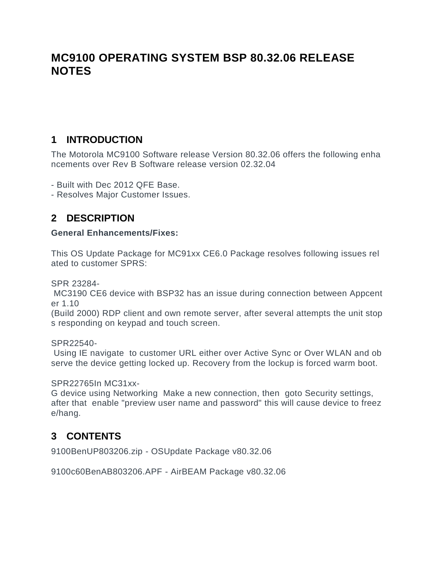# **MC9100 OPERATING SYSTEM BSP 80.32.06 RELEASE NOTES**

#### **1 INTRODUCTION**

**The Motorola MC9100 Software release Version 80.32.06 offers the following enha ncements over Rev B Software release version 02.32.04**

**- Built with Dec 2012 QFE Base.**

**- Resolves Major Customer Issues.**

### **2 DESCRIPTION**

**General Enhancements/Fixes:**

**This OS Update Package for MC91xx CE6.0 Package resolves following issues rel ated to customer SPRS:**

**SPR 23284-**

**MC3190 CE6 device with BSP32 has an issue during connection between Appcent er 1.10** 

**(Build 2000) RDP client and own remote server, after several attempts the unit stop s responding on keypad and touch screen.**

**SPR22540-**

**Using IE navigate to customer URL either over Active Sync or Over WLAN and ob serve the device getting locked up. Recovery from the lockup is forced warm boot.**

**SPR22765In MC31xx-**

**G device using Networking Make a new connection, then goto Security settings, after that enable "preview user name and password" this will cause device to freez e/hang.**

#### **3 CONTENTS**

**9100BenUP803206.zip - OSUpdate Package v80.32.06**

**9100c60BenAB803206.APF - AirBEAM Package v80.32.06**